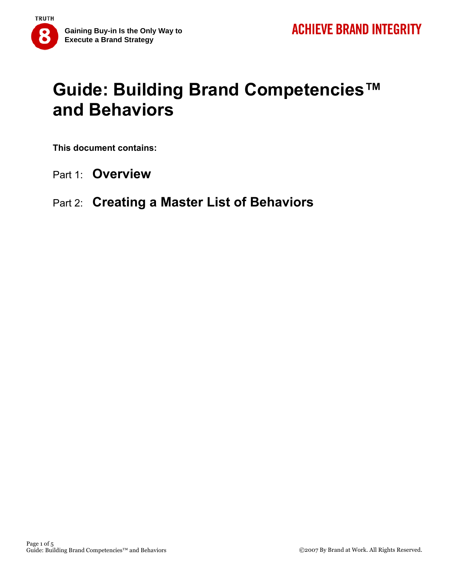# **Guide: Building Brand Competencies™ and Behaviors**

**This document contains:** 

- Part 1: **Overview**
- Part 2: **Creating a Master List of Behaviors**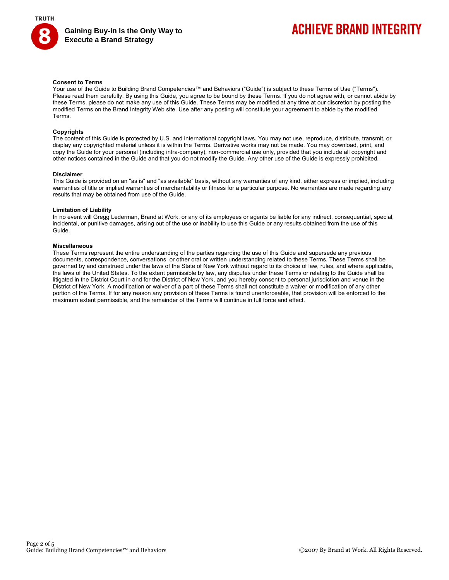

**Gaining Buy-in Is the Only Way to Execute a Brand Strategy** 

# **ACHIEVE BRAND INTEGRITY**

### **Consent to Terms**

Your use of the Guide to Building Brand Competencies™ and Behaviors ("Guide") is subject to these Terms of Use ("Terms"). Please read them carefully. By using this Guide, you agree to be bound by these Terms. If you do not agree with, or cannot abide by these Terms, please do not make any use of this Guide. These Terms may be modified at any time at our discretion by posting the modified Terms on the Brand Integrity Web site. Use after any posting will constitute your agreement to abide by the modified Terms.

### **Copyrights**

The content of this Guide is protected by U.S. and international copyright laws. You may not use, reproduce, distribute, transmit, or display any copyrighted material unless it is within the Terms. Derivative works may not be made. You may download, print, and copy the Guide for your personal (including intra-company), non-commercial use only, provided that you include all copyright and other notices contained in the Guide and that you do not modify the Guide. Any other use of the Guide is expressly prohibited.

#### **Disclaimer**

This Guide is provided on an "as is" and "as available" basis, without any warranties of any kind, either express or implied, including warranties of title or implied warranties of merchantability or fitness for a particular purpose. No warranties are made regarding any results that may be obtained from use of the Guide.

#### **Limitation of Liability**

In no event will Gregg Lederman, Brand at Work, or any of its employees or agents be liable for any indirect, consequential, special, incidental, or punitive damages, arising out of the use or inability to use this Guide or any results obtained from the use of this Guide.

#### **Miscellaneous**

These Terms represent the entire understanding of the parties regarding the use of this Guide and supersede any previous documents, correspondence, conversations, or other oral or written understanding related to these Terms. These Terms shall be governed by and construed under the laws of the State of New York without regard to its choice of law, rules, and where applicable, the laws of the United States. To the extent permissible by law, any disputes under these Terms or relating to the Guide shall be litigated in the District Court in and for the District of New York, and you hereby consent to personal jurisdiction and venue in the District of New York. A modification or waiver of a part of these Terms shall not constitute a waiver or modification of any other portion of the Terms. If for any reason any provision of these Terms is found unenforceable, that provision will be enforced to the maximum extent permissible, and the remainder of the Terms will continue in full force and effect.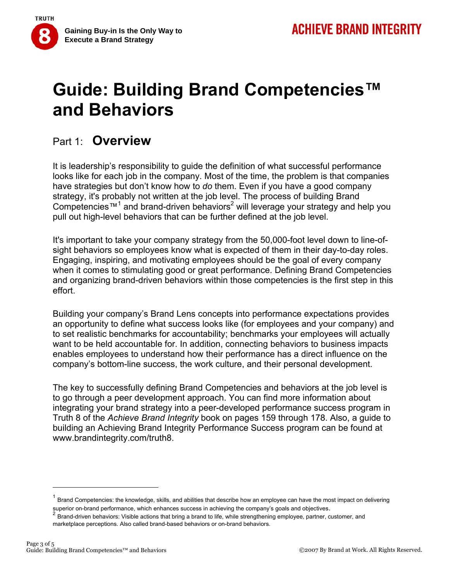

# **Guide: Building Brand Competencies™ and Behaviors**

## Part 1: **Overview**

It is leadership's responsibility to guide the definition of what successful performance looks like for each job in the company. Most of the time, the problem is that companies have strategies but don't know how to *do* them. Even if you have a good company strategy, it's probably not written at the job level. The process of building Brand Competencies<sup>™1</sup> and brand-driven behaviors<sup>2</sup> will leverage your strategy and help you pull out high-level behaviors that can be further defined at the job level.

It's important to take your company strategy from the 50,000-foot level down to line-ofsight behaviors so employees know what is expected of them in their day-to-day roles. Engaging, inspiring, and motivating employees should be the goal of every company when it comes to stimulating good or great performance. Defining Brand Competencies and organizing brand-driven behaviors within those competencies is the first step in this effort.

Building your company's Brand Lens concepts into performance expectations provides an opportunity to define what success looks like (for employees and your company) and to set realistic benchmarks for accountability; benchmarks your employees will actually want to be held accountable for. In addition, connecting behaviors to business impacts enables employees to understand how their performance has a direct influence on the company's bottom-line success, the work culture, and their personal development.

The key to successfully defining Brand Competencies and behaviors at the job level is to go through a peer development approach. You can find more information about integrating your brand strategy into a peer-developed performance success program in Truth 8 of the *Achieve Brand Integrity* book on pages 159 through 178. Also, a guide to building an Achieving Brand Integrity Performance Success program can be found at www.brandintegrity.com/truth8.

 $<sup>1</sup>$  Brand Competencies: the knowledge, skills, and abilities that describe how an employee can have the most impact on delivering</sup>

superior on-brand performance, which enhances success in achieving the company's goals and objectives.<br>  $2$  Brand-driven behaviors: Visible actions that bring a brand to life, while strengthening employee, partner, custom marketplace perceptions. Also called brand-based behaviors or on-brand behaviors.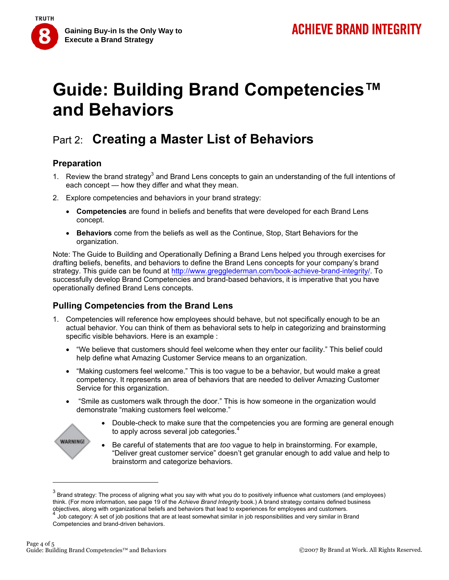

# **Guide: Building Brand Competencies™ and Behaviors**

## Part 2: **Creating a Master List of Behaviors**

## **Preparation**

- 1. Review the brand strategy<sup>3</sup> and Brand Lens concepts to gain an understanding of the full intentions of each concept — how they differ and what they mean.
- 2. Explore competencies and behaviors in your brand strategy:
	- **Competencies** are found in beliefs and benefits that were developed for each Brand Lens concept.
	- **Behaviors** come from the beliefs as well as the Continue, Stop, Start Behaviors for the organization.

Note: The Guide to Building and Operationally Defining a Brand Lens helped you through exercises for drafting beliefs, benefits, and behaviors to define the Brand Lens concepts for your company's brand strategy. This guide can be found at http://www.gregglederman.com/book-achieve-brand-integrity/. To successfully develop Brand Competencies and brand-based behaviors, it is imperative that you have operationally defined Brand Lens concepts.

## **Pulling Competencies from the Brand Lens**

- 1. Competencies will reference how employees should behave, but not specifically enough to be an actual behavior. You can think of them as behavioral sets to help in categorizing and brainstorming specific visible behaviors. Here is an example :
	- "We believe that customers should feel welcome when they enter our facility." This belief could help define what Amazing Customer Service means to an organization.
	- "Making customers feel welcome." This is too vague to be a behavior, but would make a great competency. It represents an area of behaviors that are needed to deliver Amazing Customer Service for this organization.
	- "Smile as customers walk through the door." This is how someone in the organization would demonstrate "making customers feel welcome."
		- Double-check to make sure that the competencies you are forming are general enough to apply across several job categories.<sup>4</sup>
		- Be careful of statements that are *too* vague to help in brainstorming. For example, "Deliver great customer service" doesn't get granular enough to add value and help to brainstorm and categorize behaviors.

**WARNING!** 

 $^3$  Brand strategy: The process of aligning what you say with what you do to positively influence what customers (and employees) think. (For more information, see page 19 of the *Achieve Brand Integrity* book.) A brand strategy contains defined business objectives, along with organizational beliefs and behaviors that lead to experiences for employees and customers.<br>4 Job category: A set of job positions that are at least somewhat similar in job responsibilities and very s

Competencies and brand-driven behaviors.